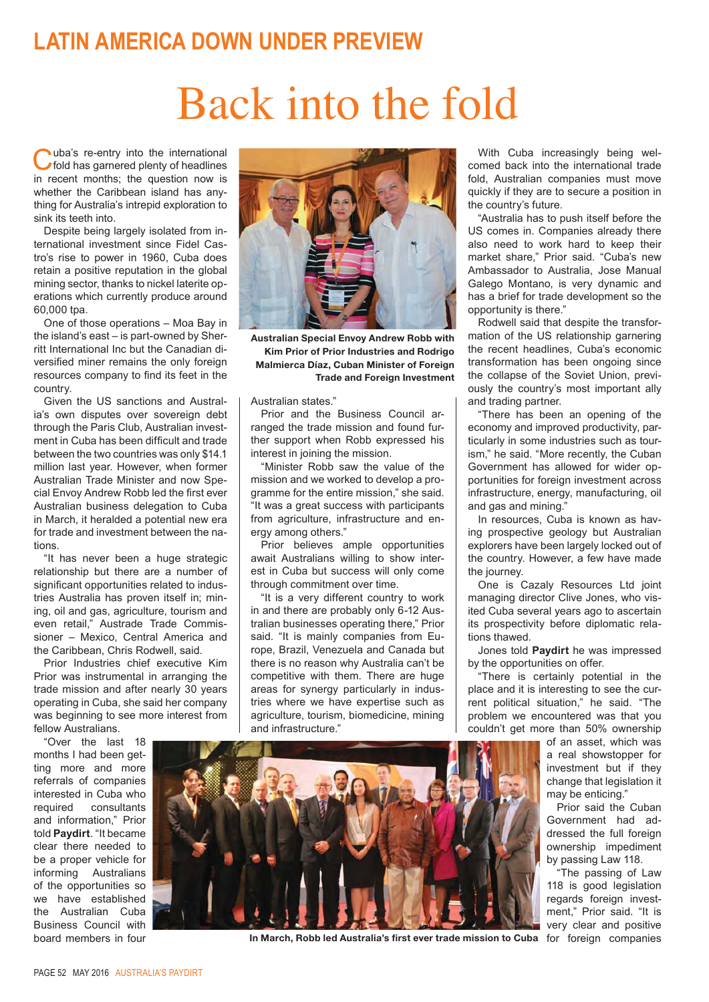## **LATIN AMERICA DOWN UNDER PREVIEW**

## Back into the fold

Cuba's re-entry into the international<br>
of fold has garnered plenty of headlines<br>
in recent months; the question now is uba's re-entry into the international fold has garnered plenty of headlines whether the Caribbean island has anything for Australia's intrepid exploration to sink its teeth into.

Despite being largely isolated from international investment since Fidel Castro's rise to power in 1960, Cuba does retain a positive reputation in the global mining sector, thanks to nickel laterite operations which currently produce around 60,000 tpa.

One of those operations – Moa Bay in the island's east – is part-owned by Sherritt International Inc but the Canadian diversified miner remains the only foreign resources company to find its feet in the country.

Given the US sanctions and Australia's own disputes over sovereign debt through the Paris Club, Australian investment in Cuba has been difficult and trade between the two countries was only \$14.1 million last year. However, when former Australian Trade Minister and now Special Envoy Andrew Robb led the first ever Australian business delegation to Cuba in March, it heralded a potential new era for trade and investment between the nations.

"It has never been a huge strategic relationship but there are a number of significant opportunities related to industries Australia has proven itself in; mining, oil and gas, agriculture, tourism and even retail," Austrade Trade Commissioner – Mexico, Central America and the Caribbean, Chris Rodwell, said.

Prior Industries chief executive Kim Prior was instrumental in arranging the trade mission and after nearly 30 years operating in Cuba, she said her company was beginning to see more interest from fellow Australians.

"Over the last 18 months I had been getting more and more referrals of companies interested in Cuba who required consultants and information," Prior told **Paydirt**. "It became clear there needed to be a proper vehicle for informing Australians of the opportunities so we have established the Australian Cuba Business Council with board members in four



**Australian Special Envoy Andrew Robb with Kim Prior of Prior Industries and Rodrigo Malmierca Díaz, Cuban Minister of Foreign Trade and Foreign Investment**

Australian states."

Prior and the Business Council arranged the trade mission and found further support when Robb expressed his interest in joining the mission.

"Minister Robb saw the value of the mission and we worked to develop a programme for the entire mission," she said. "It was a great success with participants from agriculture, infrastructure and energy among others."

Prior believes ample opportunities await Australians willing to show interest in Cuba but success will only come through commitment over time.

"It is a very different country to work in and there are probably only 6-12 Australian businesses operating there," Prior said. "It is mainly companies from Europe, Brazil, Venezuela and Canada but there is no reason why Australia can't be competitive with them. There are huge areas for synergy particularly in industries where we have expertise such as agriculture, tourism, biomedicine, mining and infrastructure."

With Cuba increasingly being welcomed back into the international trade fold, Australian companies must move quickly if they are to secure a position in the country's future.

"Australia has to push itself before the US comes in. Companies already there also need to work hard to keep their market share," Prior said. "Cuba's new Ambassador to Australia, Jose Manual Galego Montano, is very dynamic and has a brief for trade development so the opportunity is there."

Rodwell said that despite the transformation of the US relationship garnering the recent headlines, Cuba's economic transformation has been ongoing since the collapse of the Soviet Union, previously the country's most important ally and trading partner.

"There has been an opening of the economy and improved productivity, particularly in some industries such as tourism," he said. "More recently, the Cuban Government has allowed for wider opportunities for foreign investment across infrastructure, energy, manufacturing, oil and gas and mining."

In resources, Cuba is known as having prospective geology but Australian explorers have been largely locked out of the country. However, a few have made the journey.

One is Cazaly Resources Ltd joint managing director Clive Jones, who visited Cuba several years ago to ascertain its prospectivity before diplomatic relations thawed.

Jones told **Paydirt** he was impressed by the opportunities on offer.

"There is certainly potential in the place and it is interesting to see the current political situation," he said. "The problem we encountered was that you couldn't get more than 50% ownership

> of an asset, which was a real showstopper for investment but if they change that legislation it may be enticing."

> Prior said the Cuban Government had addressed the full foreign ownership impediment by passing Law 118.

> "The passing of Law 118 is good legislation regards foreign investment," Prior said. "It is very clear and positive



In March, Robb led Australia's first ever trade mission to Cuba for foreign companies